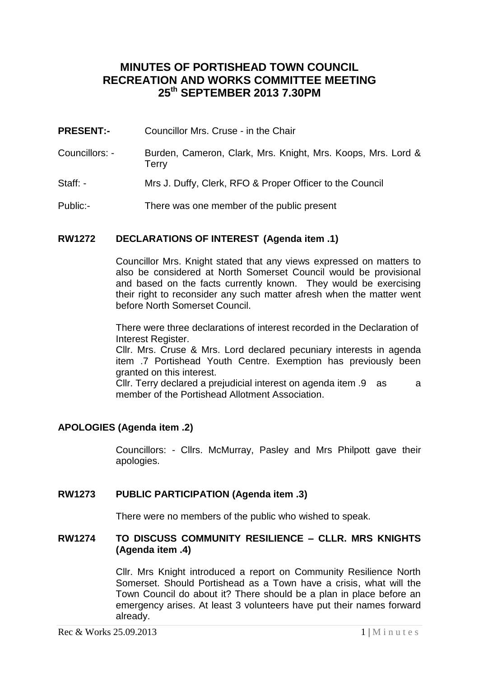# **MINUTES OF PORTISHEAD TOWN COUNCIL RECREATION AND WORKS COMMITTEE MEETING 25th SEPTEMBER 2013 7.30PM**

- **PRESENT:-** Councillor Mrs. Cruse in the Chair
- Councillors: Burden, Cameron, Clark, Mrs. Knight, Mrs. Koops, Mrs. Lord & **Terry**
- Staff: Mrs J. Duffy, Clerk, RFO & Proper Officer to the Council
- Public:- There was one member of the public present

#### **RW1272 DECLARATIONS OF INTEREST (Agenda item .1)**

Councillor Mrs. Knight stated that any views expressed on matters to also be considered at North Somerset Council would be provisional and based on the facts currently known. They would be exercising their right to reconsider any such matter afresh when the matter went before North Somerset Council.

There were three declarations of interest recorded in the Declaration of Interest Register.

Cllr. Mrs. Cruse & Mrs. Lord declared pecuniary interests in agenda item .7 Portishead Youth Centre. Exemption has previously been granted on this interest.

Cllr. Terry declared a prejudicial interest on agenda item .9 as a member of the Portishead Allotment Association.

### **APOLOGIES (Agenda item .2)**

Councillors: - Cllrs. McMurray, Pasley and Mrs Philpott gave their apologies.

#### **RW1273 PUBLIC PARTICIPATION (Agenda item .3)**

There were no members of the public who wished to speak.

#### **RW1274 TO DISCUSS COMMUNITY RESILIENCE – CLLR. MRS KNIGHTS (Agenda item .4)**

Cllr. Mrs Knight introduced a report on Community Resilience North Somerset. Should Portishead as a Town have a crisis, what will the Town Council do about it? There should be a plan in place before an emergency arises. At least 3 volunteers have put their names forward already.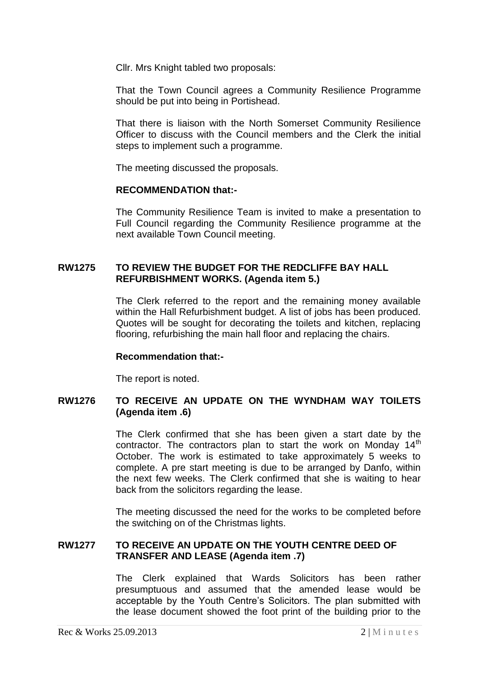Cllr. Mrs Knight tabled two proposals:

That the Town Council agrees a Community Resilience Programme should be put into being in Portishead.

That there is liaison with the North Somerset Community Resilience Officer to discuss with the Council members and the Clerk the initial steps to implement such a programme.

The meeting discussed the proposals.

#### **RECOMMENDATION that:-**

The Community Resilience Team is invited to make a presentation to Full Council regarding the Community Resilience programme at the next available Town Council meeting.

#### **RW1275 TO REVIEW THE BUDGET FOR THE REDCLIFFE BAY HALL REFURBISHMENT WORKS. (Agenda item 5.)**

The Clerk referred to the report and the remaining money available within the Hall Refurbishment budget. A list of jobs has been produced. Quotes will be sought for decorating the toilets and kitchen, replacing flooring, refurbishing the main hall floor and replacing the chairs.

#### **Recommendation that:-**

The report is noted.

## **RW1276 TO RECEIVE AN UPDATE ON THE WYNDHAM WAY TOILETS (Agenda item .6)**

The Clerk confirmed that she has been given a start date by the contractor. The contractors plan to start the work on Monday  $14<sup>th</sup>$ October. The work is estimated to take approximately 5 weeks to complete. A pre start meeting is due to be arranged by Danfo, within the next few weeks. The Clerk confirmed that she is waiting to hear back from the solicitors regarding the lease.

The meeting discussed the need for the works to be completed before the switching on of the Christmas lights.

#### **RW1277 TO RECEIVE AN UPDATE ON THE YOUTH CENTRE DEED OF TRANSFER AND LEASE (Agenda item .7)**

The Clerk explained that Wards Solicitors has been rather presumptuous and assumed that the amended lease would be acceptable by the Youth Centre's Solicitors. The plan submitted with the lease document showed the foot print of the building prior to the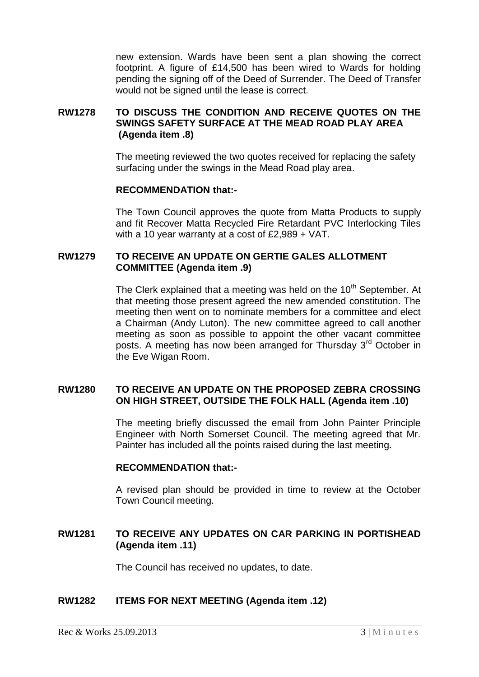new extension. Wards have been sent a plan showing the correct footprint. A figure of £14,500 has been wired to Wards for holding pending the signing off of the Deed of Surrender. The Deed of Transfer would not be signed until the lease is correct.

### **RW1278 TO DISCUSS THE CONDITION AND RECEIVE QUOTES ON THE SWINGS SAFETY SURFACE AT THE MEAD ROAD PLAY AREA (Agenda item .8)**

The meeting reviewed the two quotes received for replacing the safety surfacing under the swings in the Mead Road play area.

#### **RECOMMENDATION that:-**

The Town Council approves the quote from Matta Products to supply and fit Recover Matta Recycled Fire Retardant PVC Interlocking Tiles with a 10 year warranty at a cost of £2,989 + VAT.

### **RW1279 TO RECEIVE AN UPDATE ON GERTIE GALES ALLOTMENT COMMITTEE (Agenda item .9)**

The Clerk explained that a meeting was held on the  $10<sup>th</sup>$  September. At that meeting those present agreed the new amended constitution. The meeting then went on to nominate members for a committee and elect a Chairman (Andy Luton). The new committee agreed to call another meeting as soon as possible to appoint the other vacant committee posts. A meeting has now been arranged for Thursday 3<sup>rd</sup> October in the Eve Wigan Room.

#### **RW1280 TO RECEIVE AN UPDATE ON THE PROPOSED ZEBRA CROSSING ON HIGH STREET, OUTSIDE THE FOLK HALL (Agenda item .10)**

The meeting briefly discussed the email from John Painter Principle Engineer with North Somerset Council. The meeting agreed that Mr. Painter has included all the points raised during the last meeting.

#### **RECOMMENDATION that:-**

A revised plan should be provided in time to review at the October Town Council meeting.

## **RW1281 TO RECEIVE ANY UPDATES ON CAR PARKING IN PORTISHEAD (Agenda item .11)**

The Council has received no updates, to date.

#### **RW1282 ITEMS FOR NEXT MEETING (Agenda item .12)**